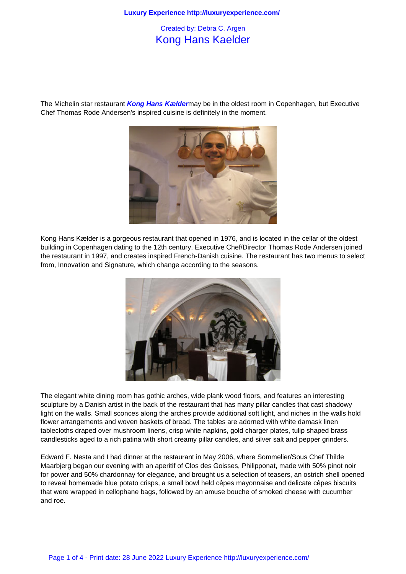## Kong Hans Kaelder

The Michelin star restaurant **Kong Hans Kælder**may be in the oldest room in Copenhagen, but Executive Chef Thomas Rode Andersen's inspired cuisine is definitely in the moment.



Kong Hans Kælder is a gorgeous restaurant that opened in 1976, and is located in the cellar of the oldest building in Copenhagen dating to the 12th century. Executive Chef/Director Thomas Rode Andersen joined the restaurant in 1997, and creates inspired French-Danish cuisine. The restaurant has two menus to select from, Innovation and Signature, which change according to the seasons.



The elegant white dining room has gothic arches, wide plank wood floors, and features an interesting sculpture by a Danish artist in the back of the restaurant that has many pillar candles that cast shadowy light on the walls. Small sconces along the arches provide additional soft light, and niches in the walls hold flower arrangements and woven baskets of bread. The tables are adorned with white damask linen tablecloths draped over mushroom linens, crisp white napkins, gold charger plates, tulip shaped brass candlesticks aged to a rich patina with short creamy pillar candles, and silver salt and pepper grinders.

Edward F. Nesta and I had dinner at the restaurant in May 2006, where Sommelier/Sous Chef Thilde Maarbjerg began our evening with an aperitif of Clos des Goisses, Philipponat, made with 50% pinot noir for power and 50% chardonnay for elegance, and brought us a selection of teasers, an ostrich shell opened to reveal homemade blue potato crisps, a small bowl held cêpes mayonnaise and delicate cêpes biscuits that were wrapped in cellophane bags, followed by an amuse bouche of smoked cheese with cucumber and roe.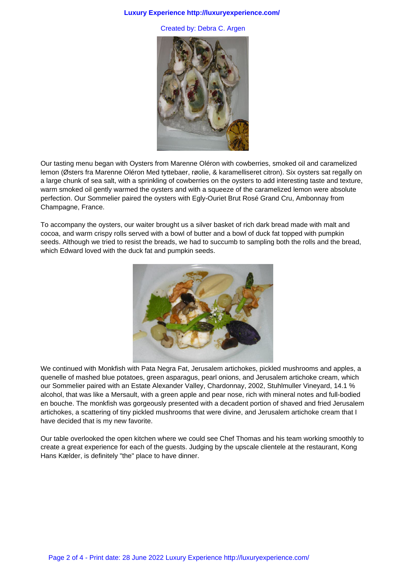## **Luxury Experience http://luxuryexperience.com/**

Created by: Debra C. Argen



Our tasting menu began with Oysters from Marenne Oléron with cowberries, smoked oil and caramelized lemon (Østers fra Marenne Oléron Med tyttebaer, røolie, & karamelliseret citron). Six oysters sat regally on a large chunk of sea salt, with a sprinkling of cowberries on the oysters to add interesting taste and texture, warm smoked oil gently warmed the oysters and with a squeeze of the caramelized lemon were absolute perfection. Our Sommelier paired the oysters with Egly-Ouriet Brut Rosé Grand Cru, Ambonnay from Champagne, France.

To accompany the oysters, our waiter brought us a silver basket of rich dark bread made with malt and cocoa, and warm crispy rolls served with a bowl of butter and a bowl of duck fat topped with pumpkin seeds. Although we tried to resist the breads, we had to succumb to sampling both the rolls and the bread, which Edward loved with the duck fat and pumpkin seeds.



We continued with Monkfish with Pata Negra Fat, Jerusalem artichokes, pickled mushrooms and apples, a quenelle of mashed blue potatoes, green asparagus, pearl onions, and Jerusalem artichoke cream, which our Sommelier paired with an Estate Alexander Valley, Chardonnay, 2002, Stuhlmuller Vineyard, 14.1 % alcohol, that was like a Mersault, with a green apple and pear nose, rich with mineral notes and full-bodied en bouche. The monkfish was gorgeously presented with a decadent portion of shaved and fried Jerusalem artichokes, a scattering of tiny pickled mushrooms that were divine, and Jerusalem artichoke cream that I have decided that is my new favorite.

Our table overlooked the open kitchen where we could see Chef Thomas and his team working smoothly to create a great experience for each of the guests. Judging by the upscale clientele at the restaurant, Kong Hans Kælder, is definitely "the" place to have dinner.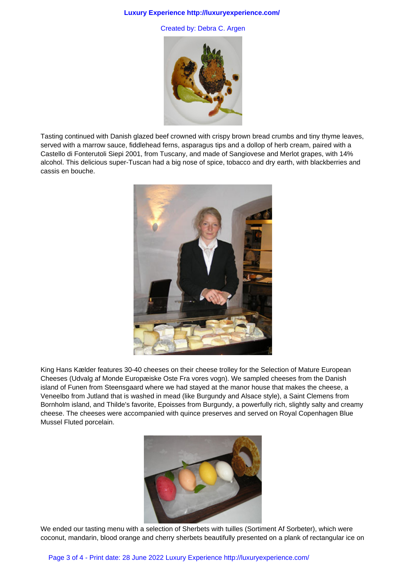## **Luxury Experience http://luxuryexperience.com/**

Created by: Debra C. Argen



Tasting continued with Danish glazed beef crowned with crispy brown bread crumbs and tiny thyme leaves, served with a marrow sauce, fiddlehead ferns, asparagus tips and a dollop of herb cream, paired with a Castello di Fonterutoli Siepi 2001, from Tuscany, and made of Sangiovese and Merlot grapes, with 14% alcohol. This delicious super-Tuscan had a big nose of spice, tobacco and dry earth, with blackberries and cassis en bouche.



King Hans Kælder features 30-40 cheeses on their cheese trolley for the Selection of Mature European Cheeses (Udvalg af Monde Europæiske Oste Fra vores vogn). We sampled cheeses from the Danish island of Funen from Steensgaard where we had stayed at the manor house that makes the cheese, a Veneelbo from Jutland that is washed in mead (like Burgundy and Alsace style), a Saint Clemens from Bornholm island, and Thilde's favorite, Epoisses from Burgundy, a powerfully rich, slightly salty and creamy cheese. The cheeses were accompanied with quince preserves and served on Royal Copenhagen Blue Mussel Fluted porcelain.



We ended our tasting menu with a selection of Sherbets with tuilles (Sortiment Af Sorbeter), which were coconut, mandarin, blood orange and cherry sherbets beautifully presented on a plank of rectangular ice on